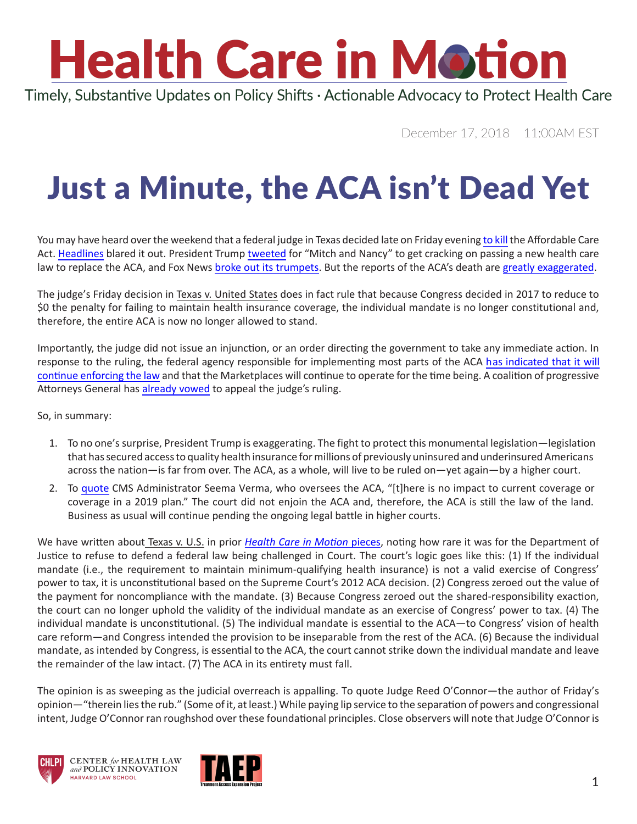## **Health Care in Motion**

Timely, Substantive Updates on Policy Shifts · Actionable Advocacy to Protect Health Care

December 17, 2018 11:00AM EST

## Just a Minute, the ACA isn't Dead Yet

You may have heard over the weekend that a federal judge in Texas decided late on Friday evening [to kill](http://www.documentcloud.org/documents/5629711-Texas-v-US-Partial-Summary-Judgment.html) the Affordable Care Act. [Headlines](https://www.usatoday.com/story/news/politics/2018/12/17/what-next-affordable-care-act/2330715002/) blared it out. President Trump [tweeted](https://twitter.com/realDonaldTrump?ref_src=twsrc%5Egoogle%7Ctwcamp%5Eserp%7Ctwgr%5Eauthor) for "Mitch and Nancy" to get cracking on passing a new health care law to replace the ACA, and Fox News [broke out its trumpets.](https://www.youtube.com/watch?v=NBV773miG5Y) But the reports of the ACA's death are [greatly exaggerated](https://www.youtube.com/watch?v=cMtBPa7hpsA).

The judge's Friday decision in Texas v. United States does in fact rule that because Congress decided in 2017 to reduce to \$0 the penalty for failing to maintain health insurance coverage, the individual mandate is no longer constitutional and, therefore, the entire ACA is now no longer allowed to stand.

Importantly, the judge did not issue an injunction, or an order directing the government to take any immediate action. In response to the ruling, the federal agency responsible for implementing most parts of the ACA [has indicated that it will](https://twitter.com/HealthCareGov/status/1073985975578189824)  [continue enforcing the law](https://twitter.com/HealthCareGov/status/1073985975578189824) and that the Marketplaces will continue to operate for the time being. A coalition of progressive Attorneys General has [already vowed](https://oag.ca.gov/news/press-releases/attorney-general-becerra-denounces-court-ruling-declaring-aca-unconstitutional) to appeal the judge's ruling.

So, in summary:

- 1. To no one's surprise, President Trump is exaggerating. The fight to protect this monumental legislation—legislation that has secured access to quality health insurance for millions of previously uninsured and underinsured Americans across the nation—is far from over. The ACA, as a whole, will live to be ruled on—yet again—by a higher court.
- 2. To [quote](https://twitter.com/SeemaCMS?ref_src=twsrc%5Egoogle%7Ctwcamp%5Eserp%7Ctwgr%5Eauthor) CMS Administrator Seema Verma, who oversees the ACA, "[t]here is no impact to current coverage or coverage in a 2019 plan." The court did not enjoin the ACA and, therefore, the ACA is still the law of the land. Business as usual will continue pending the ongoing legal battle in higher courts.

We have written about Texas v. U.S. in prior *[Health Care in Motion](https://www.chlpi.org/wp-content/uploads/2013/12/HCIM_06_19_2018.pdf)* pieces, noting how rare it was for the Department of Justice to refuse to defend a federal law being challenged in Court. The court's logic goes like this: (1) If the individual mandate (i.e., the requirement to maintain minimum-qualifying health insurance) is not a valid exercise of Congress' power to tax, it is unconstitutional based on the Supreme Court's 2012 ACA decision. (2) Congress zeroed out the value of the payment for noncompliance with the mandate. (3) Because Congress zeroed out the shared-responsibility exaction, the court can no longer uphold the validity of the individual mandate as an exercise of Congress' power to tax. (4) The individual mandate is unconstitutional. (5) The individual mandate is essential to the ACA—to Congress' vision of health care reform—and Congress intended the provision to be inseparable from the rest of the ACA. (6) Because the individual mandate, as intended by Congress, is essential to the ACA, the court cannot strike down the individual mandate and leave the remainder of the law intact. (7) The ACA in its entirety must fall.

The opinion is as sweeping as the judicial overreach is appalling. To quote Judge Reed O'Connor—the author of Friday's opinion—"therein lies the rub." (Some of it, at least.) While paying lip service to the separation of powers and congressional intent, Judge O'Connor ran roughshod over these foundational principles. Close observers will note that Judge O'Connor is